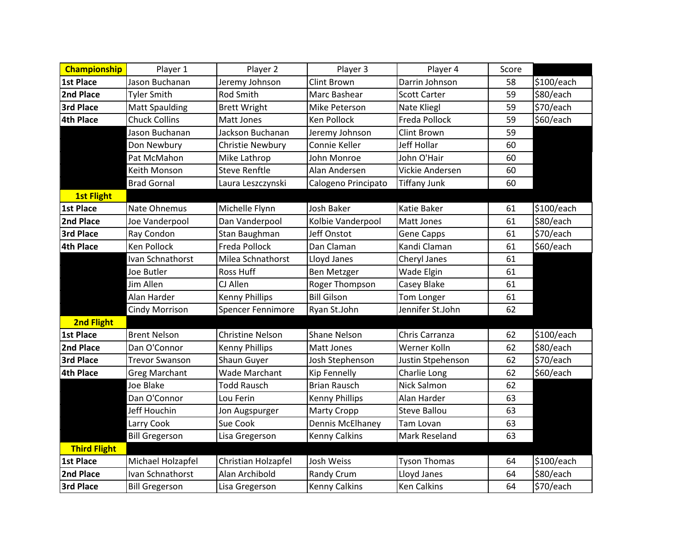| <b>Championship</b> | Player 1              | Player 2                | Player 3              | Player 4            | Score |            |
|---------------------|-----------------------|-------------------------|-----------------------|---------------------|-------|------------|
| 1st Place           | Jason Buchanan        | Jeremy Johnson          | <b>Clint Brown</b>    | Darrin Johnson      | 58    | \$100/each |
| 2nd Place           | <b>Tyler Smith</b>    | <b>Rod Smith</b>        | Marc Bashear          | <b>Scott Carter</b> | 59    | \$80/each  |
| <b>3rd Place</b>    | <b>Matt Spaulding</b> | <b>Brett Wright</b>     | Mike Peterson         | Nate Kliegl         | 59    | \$70/each  |
| 4th Place           | <b>Chuck Collins</b>  | Matt Jones              | Ken Pollock           | Freda Pollock       | 59    | \$60/each  |
|                     | Jason Buchanan        | Jackson Buchanan        | Jeremy Johnson        | Clint Brown         | 59    |            |
|                     | Don Newbury           | Christie Newbury        | Connie Keller         | Jeff Hollar         | 60    |            |
|                     | Pat McMahon           | Mike Lathrop            | John Monroe           | John O'Hair         | 60    |            |
|                     | Keith Monson          | <b>Steve Renftle</b>    | Alan Andersen         | Vickie Andersen     | 60    |            |
|                     | <b>Brad Gornal</b>    | Laura Leszczynski       | Calogeno Principato   | <b>Tiffany Junk</b> | 60    |            |
| <b>1st Flight</b>   |                       |                         |                       |                     |       |            |
| 1st Place           | Nate Ohnemus          | Michelle Flynn          | <b>Josh Baker</b>     | <b>Katie Baker</b>  | 61    | \$100/each |
| 2nd Place           | Joe Vanderpool        | Dan Vanderpool          | Kolbie Vanderpool     | Matt Jones          | 61    | \$80/each  |
| <b>3rd Place</b>    | Ray Condon            | Stan Baughman           | Jeff Onstot           | <b>Gene Capps</b>   | 61    | \$70/each  |
| <b>4th Place</b>    | Ken Pollock           | Freda Pollock           | Dan Claman            | Kandi Claman        | 61    | \$60/each  |
|                     | Ivan Schnathorst      | Milea Schnathorst       | Lloyd Janes           | Cheryl Janes        | 61    |            |
|                     | Joe Butler            | Ross Huff               | <b>Ben Metzger</b>    | Wade Elgin          | 61    |            |
|                     | Jim Allen             | CJ Allen                | Roger Thompson        | Casey Blake         | 61    |            |
|                     | Alan Harder           | <b>Kenny Phillips</b>   | <b>Bill Gilson</b>    | Tom Longer          | 61    |            |
|                     | <b>Cindy Morrison</b> | Spencer Fennimore       | Ryan St.John          | Jennifer St.John    | 62    |            |
| <b>2nd Flight</b>   |                       |                         |                       |                     |       |            |
| <b>1st Place</b>    | <b>Brent Nelson</b>   | <b>Christine Nelson</b> | <b>Shane Nelson</b>   | Chris Carranza      | 62    | \$100/each |
| 2nd Place           | Dan O'Connor          | <b>Kenny Phillips</b>   | Matt Jones            | Werner Kolln        | 62    | \$80/each  |
| <b>3rd Place</b>    | <b>Trevor Swanson</b> | Shaun Guyer             | Josh Stephenson       | Justin Stpehenson   | 62    | \$70/each  |
| <b>4th Place</b>    | <b>Greg Marchant</b>  | <b>Wade Marchant</b>    | <b>Kip Fennelly</b>   | Charlie Long        | 62    | \$60/each  |
|                     | Joe Blake             | <b>Todd Rausch</b>      | <b>Brian Rausch</b>   | <b>Nick Salmon</b>  | 62    |            |
|                     | Dan O'Connor          | Lou Ferin               | <b>Kenny Phillips</b> | Alan Harder         | 63    |            |
|                     | Jeff Houchin          | Jon Augspurger          | <b>Marty Cropp</b>    | <b>Steve Ballou</b> | 63    |            |
|                     | Larry Cook            | <b>Sue Cook</b>         | Dennis McElhaney      | <b>Tam Lovan</b>    | 63    |            |
|                     | <b>Bill Gregerson</b> | Lisa Gregerson          | <b>Kenny Calkins</b>  | Mark Reseland       | 63    |            |
| <b>Third Flight</b> |                       |                         |                       |                     |       |            |
| 1st Place           | Michael Holzapfel     | Christian Holzapfel     | Josh Weiss            | <b>Tyson Thomas</b> | 64    | \$100/each |
| 2nd Place           | Ivan Schnathorst      | Alan Archibold          | Randy Crum            | Lloyd Janes         | 64    | \$80/each  |
| <b>3rd Place</b>    | <b>Bill Gregerson</b> | Lisa Gregerson          | <b>Kenny Calkins</b>  | <b>Ken Calkins</b>  | 64    | \$70/each  |